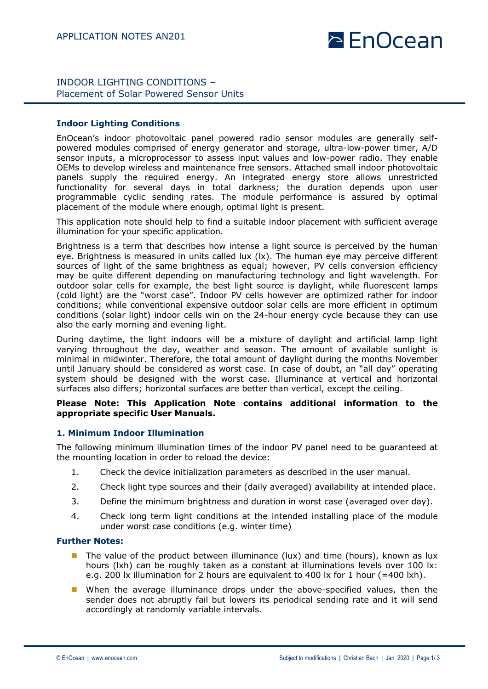# $\geq$  EnOcean

### INDOOR LIGHTING CONDITIONS – Placement of Solar Powered Sensor Units

### **Indoor Lighting Conditions**

EnOcean's indoor photovoltaic panel powered radio sensor modules are generally selfpowered modules comprised of energy generator and storage, ultra-low-power timer, A/D sensor inputs, a microprocessor to assess input values and low-power radio. They enable OEMs to develop wireless and maintenance free sensors. Attached small indoor photovoltaic panels supply the required energy. An integrated energy store allows unrestricted functionality for several days in total darkness; the duration depends upon user programmable cyclic sending rates. The module performance is assured by optimal placement of the module where enough, optimal light is present.

This application note should help to find a suitable indoor placement with sufficient average illumination for your specific application.

Brightness is a term that describes how intense a light source is perceived by the human eye. Brightness is measured in units called lux (lx). The human eye may perceive different sources of light of the same brightness as equal; however, PV cells conversion efficiency may be quite different depending on manufacturing technology and light wavelength. For outdoor solar cells for example, the best light source is daylight, while fluorescent lamps (cold light) are the "worst case". Indoor PV cells however are optimized rather for indoor conditions; while conventional expensive outdoor solar cells are more efficient in optimum conditions (solar light) indoor cells win on the 24-hour energy cycle because they can use also the early morning and evening light.

During daytime, the light indoors will be a mixture of daylight and artificial lamp light varying throughout the day, weather and season. The amount of available sunlight is minimal in midwinter. Therefore, the total amount of daylight during the months November until January should be considered as worst case. In case of doubt, an "all day" operating system should be designed with the worst case. Illuminance at vertical and horizontal surfaces also differs; horizontal surfaces are better than vertical, except the ceiling.

#### **Please Note: This Application Note contains additional information to the appropriate specific User Manuals.**

#### **1. Minimum Indoor Illumination**

The following minimum illumination times of the indoor PV panel need to be guaranteed at the mounting location in order to reload the device:

- 1. Check the device initialization parameters as described in the user manual.
- 2. Check light type sources and their (daily averaged) availability at intended place.
- 3. Define the minimum brightness and duration in worst case (averaged over day).
- 4. Check long term light conditions at the intended installing place of the module under worst case conditions (e.g. winter time)

#### **Further Notes:**

- **n** The value of the product between illuminance (lux) and time (hours), known as lux hours (lxh) can be roughly taken as a constant at illuminations levels over 100 lx: e.g. 200 lx illumination for 2 hours are equivalent to 400 lx for 1 hour (=400 lxh).
- **n** When the average illuminance drops under the above-specified values, then the sender does not abruptly fail but lowers its periodical sending rate and it will send accordingly at randomly variable intervals.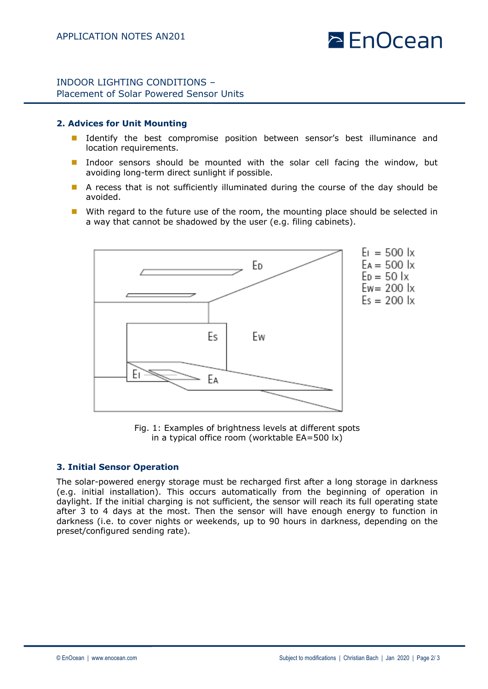# $\geq$  EnOcean

### INDOOR LIGHTING CONDITIONS – Placement of Solar Powered Sensor Units

#### **2. Advices for Unit Mounting**

- Identify the best compromise position between sensor's best illuminance and location requirements.
- **n** Indoor sensors should be mounted with the solar cell facing the window, but avoiding long-term direct sunlight if possible.
- A recess that is not sufficiently illuminated during the course of the day should be avoided.
- $\blacksquare$  With regard to the future use of the room, the mounting place should be selected in a way that cannot be shadowed by the user (e.g. filing cabinets).



Fig. 1: Examples of brightness levels at different spots in a typical office room (worktable EA=500 lx)

#### **3. Initial Sensor Operation**

The solar-powered energy storage must be recharged first after a long storage in darkness (e.g. initial installation). This occurs automatically from the beginning of operation in daylight. If the initial charging is not sufficient, the sensor will reach its full operating state after 3 to 4 days at the most. Then the sensor will have enough energy to function in darkness (i.e. to cover nights or weekends, up to 90 hours in darkness, depending on the preset/configured sending rate).